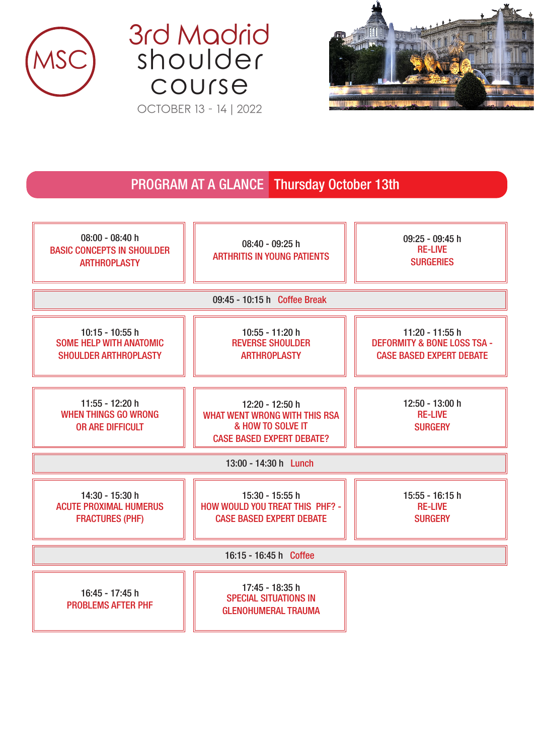





## PROGRAM AT A GLANCE Thursday October 13th